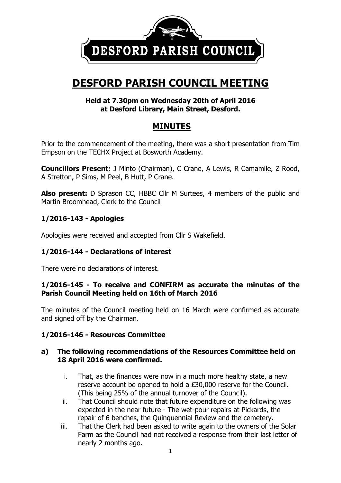

# **DESFORD PARISH COUNCIL MEETING**

### **Held at 7.30pm on Wednesday 20th of April 2016 at Desford Library, Main Street, Desford.**

# **MINUTES**

Prior to the commencement of the meeting, there was a short presentation from Tim Empson on the TECHX Project at Bosworth Academy.

**Councillors Present:** J Minto (Chairman), C Crane, A Lewis, R Camamile, Z Rood, A Stretton, P Sims, M Peel, B Hutt, P Crane.

**Also present:** D Sprason CC, HBBC Cllr M Surtees, 4 members of the public and Martin Broomhead, Clerk to the Council

# **1/2016-143 - Apologies**

Apologies were received and accepted from Cllr S Wakefield.

# **1/2016-144 - Declarations of interest**

There were no declarations of interest.

### **1/2016-145 - To receive and CONFIRM as accurate the minutes of the Parish Council Meeting held on 16th of March 2016**

The minutes of the Council meeting held on 16 March were confirmed as accurate and signed off by the Chairman.

# **1/2016-146 - Resources Committee**

### **a) The following recommendations of the Resources Committee held on 18 April 2016 were confirmed.**

- i. That, as the finances were now in a much more healthy state, a new reserve account be opened to hold a £30,000 reserve for the Council. (This being 25% of the annual turnover of the Council).
- ii. That Council should note that future expenditure on the following was expected in the near future - The wet-pour repairs at Pickards, the repair of 6 benches, the Quinquennial Review and the cemetery.
- iii. That the Clerk had been asked to write again to the owners of the Solar Farm as the Council had not received a response from their last letter of nearly 2 months ago.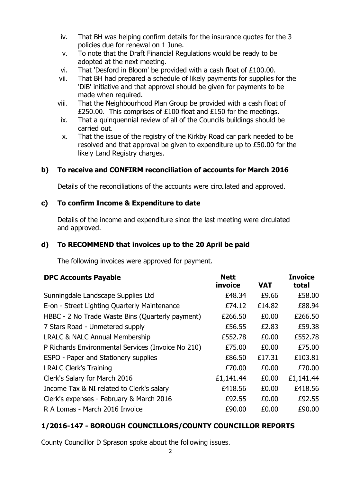- iv. That BH was helping confirm details for the insurance quotes for the 3 policies due for renewal on 1 June.
- v. To note that the Draft Financial Regulations would be ready to be adopted at the next meeting.
- vi. That 'Desford in Bloom' be provided with a cash float of £100.00.
- vii. That BH had prepared a schedule of likely payments for supplies for the 'DiB' initiative and that approval should be given for payments to be made when required.
- viii. That the Neighbourhood Plan Group be provided with a cash float of £250.00. This comprises of £100 float and £150 for the meetings.
- ix. That a quinquennial review of all of the Councils buildings should be carried out.
- x. That the issue of the registry of the Kirkby Road car park needed to be resolved and that approval be given to expenditure up to £50.00 for the likely Land Registry charges.

# **b) To receive and CONFIRM reconciliation of accounts for March 2016**

Details of the reconciliations of the accounts were circulated and approved.

# **c) To confirm Income & Expenditure to date**

Details of the income and expenditure since the last meeting were circulated and approved.

# **d) To RECOMMEND that invoices up to the 20 April be paid**

The following invoices were approved for payment.

| <b>DPC Accounts Payable</b>                        | <b>Nett</b><br>invoice | <b>VAT</b> | <b>Invoice</b><br>total |
|----------------------------------------------------|------------------------|------------|-------------------------|
| Sunningdale Landscape Supplies Ltd                 | £48.34                 | £9.66      | £58.00                  |
| E-on - Street Lighting Quarterly Maintenance       | £74.12                 | £14.82     | £88.94                  |
| HBBC - 2 No Trade Waste Bins (Quarterly payment)   | £266.50                | £0.00      | £266.50                 |
| 7 Stars Road - Unmetered supply                    | £56.55                 | £2.83      | £59.38                  |
| <b>LRALC &amp; NALC Annual Membership</b>          | £552.78                | £0.00      | £552.78                 |
| P Richards Environmental Services (Invoice No 210) | £75.00                 | £0.00      | £75.00                  |
| <b>ESPO - Paper and Stationery supplies</b>        | £86.50                 | £17.31     | £103.81                 |
| <b>LRALC Clerk's Training</b>                      | £70.00                 | £0.00      | £70.00                  |
| Clerk's Salary for March 2016                      | £1,141.44              | £0.00      | £1,141.44               |
| Income Tax & NI related to Clerk's salary          | £418.56                | £0.00      | £418.56                 |
| Clerk's expenses - February & March 2016           | £92.55                 | £0.00      | £92.55                  |
| R A Lomas - March 2016 Invoice                     | £90.00                 | £0.00      | £90.00                  |

# **1/2016-147 - BOROUGH COUNCILLORS/COUNTY COUNCILLOR REPORTS**

County Councillor D Sprason spoke about the following issues.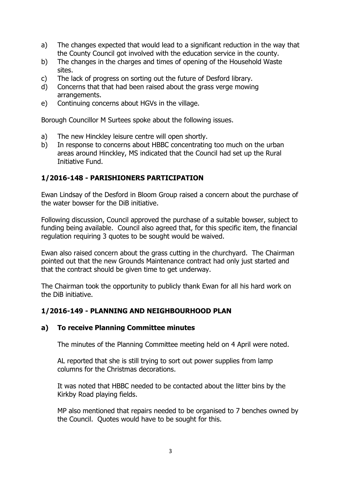- a) The changes expected that would lead to a significant reduction in the way that the County Council got involved with the education service in the county.
- b) The changes in the charges and times of opening of the Household Waste sites.
- c) The lack of progress on sorting out the future of Desford library.
- d) Concerns that that had been raised about the grass verge mowing arrangements.
- e) Continuing concerns about HGVs in the village.

Borough Councillor M Surtees spoke about the following issues.

- a) The new Hinckley leisure centre will open shortly.
- b) In response to concerns about HBBC concentrating too much on the urban areas around Hinckley, MS indicated that the Council had set up the Rural Initiative Fund.

# **1/2016-148 - PARISHIONERS PARTICIPATION**

Ewan Lindsay of the Desford in Bloom Group raised a concern about the purchase of the water bowser for the DiB initiative.

Following discussion, Council approved the purchase of a suitable bowser, subject to funding being available. Council also agreed that, for this specific item, the financial regulation requiring 3 quotes to be sought would be waived.

Ewan also raised concern about the grass cutting in the churchyard. The Chairman pointed out that the new Grounds Maintenance contract had only just started and that the contract should be given time to get underway.

The Chairman took the opportunity to publicly thank Ewan for all his hard work on the DiB initiative.

# **1/2016-149 - PLANNING AND NEIGHBOURHOOD PLAN**

### **a) To receive Planning Committee minutes**

The minutes of the Planning Committee meeting held on 4 April were noted.

AL reported that she is still trying to sort out power supplies from lamp columns for the Christmas decorations.

It was noted that HBBC needed to be contacted about the litter bins by the Kirkby Road playing fields.

MP also mentioned that repairs needed to be organised to 7 benches owned by the Council. Quotes would have to be sought for this.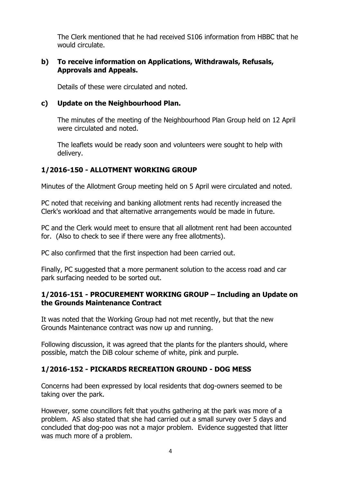The Clerk mentioned that he had received S106 information from HBBC that he would circulate.

### **b) To receive information on Applications, Withdrawals, Refusals, Approvals and Appeals.**

Details of these were circulated and noted.

# **c) Update on the Neighbourhood Plan.**

The minutes of the meeting of the Neighbourhood Plan Group held on 12 April were circulated and noted.

The leaflets would be ready soon and volunteers were sought to help with delivery.

# **1/2016-150 - ALLOTMENT WORKING GROUP**

Minutes of the Allotment Group meeting held on 5 April were circulated and noted.

PC noted that receiving and banking allotment rents had recently increased the Clerk's workload and that alternative arrangements would be made in future.

PC and the Clerk would meet to ensure that all allotment rent had been accounted for. (Also to check to see if there were any free allotments).

PC also confirmed that the first inspection had been carried out.

Finally, PC suggested that a more permanent solution to the access road and car park surfacing needed to be sorted out.

### **1/2016-151 - PROCUREMENT WORKING GROUP – Including an Update on the Grounds Maintenance Contract**

It was noted that the Working Group had not met recently, but that the new Grounds Maintenance contract was now up and running.

Following discussion, it was agreed that the plants for the planters should, where possible, match the DiB colour scheme of white, pink and purple.

# **1/2016-152 - PICKARDS RECREATION GROUND - DOG MESS**

Concerns had been expressed by local residents that dog-owners seemed to be taking over the park.

However, some councillors felt that youths gathering at the park was more of a problem. AS also stated that she had carried out a small survey over 5 days and concluded that dog-poo was not a major problem. Evidence suggested that litter was much more of a problem.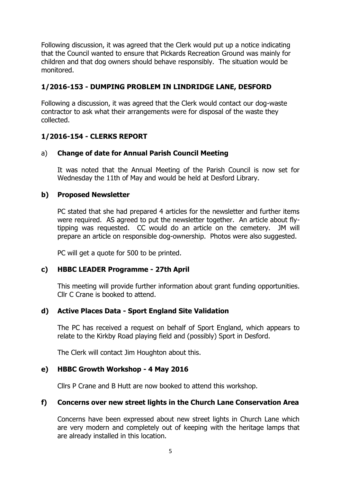Following discussion, it was agreed that the Clerk would put up a notice indicating that the Council wanted to ensure that Pickards Recreation Ground was mainly for children and that dog owners should behave responsibly. The situation would be monitored.

# **1/2016-153 - DUMPING PROBLEM IN LINDRIDGE LANE, DESFORD**

Following a discussion, it was agreed that the Clerk would contact our dog-waste contractor to ask what their arrangements were for disposal of the waste they collected.

# **1/2016-154 - CLERKS REPORT**

### a) **Change of date for Annual Parish Council Meeting**

It was noted that the Annual Meeting of the Parish Council is now set for Wednesday the 11th of May and would be held at Desford Library.

### **b) Proposed Newsletter**

PC stated that she had prepared 4 articles for the newsletter and further items were required. AS agreed to put the newsletter together. An article about flytipping was requested. CC would do an article on the cemetery. JM will prepare an article on responsible dog-ownership. Photos were also suggested.

PC will get a quote for 500 to be printed.

### **c) HBBC LEADER Programme - 27th April**

This meeting will provide further information about grant funding opportunities. Cllr C Crane is booked to attend.

# **d) Active Places Data - Sport England Site Validation**

The PC has received a request on behalf of Sport England, which appears to relate to the Kirkby Road playing field and (possibly) Sport in Desford.

The Clerk will contact Jim Houghton about this.

### **e) HBBC Growth Workshop - 4 May 2016**

Cllrs P Crane and B Hutt are now booked to attend this workshop.

### **f) Concerns over new street lights in the Church Lane Conservation Area**

Concerns have been expressed about new street lights in Church Lane which are very modern and completely out of keeping with the heritage lamps that are already installed in this location.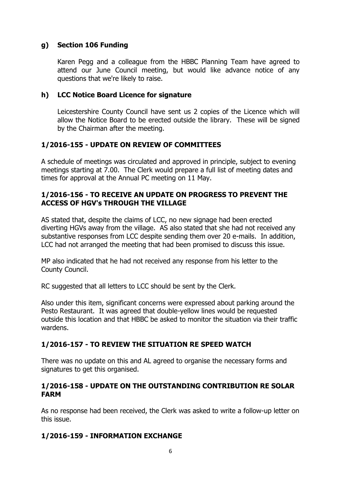### **g) Section 106 Funding**

Karen Pegg and a colleague from the HBBC Planning Team have agreed to attend our June Council meeting, but would like advance notice of any questions that we're likely to raise.

### **h) LCC Notice Board Licence for signature**

Leicestershire County Council have sent us 2 copies of the Licence which will allow the Notice Board to be erected outside the library. These will be signed by the Chairman after the meeting.

# **1/2016-155 - UPDATE ON REVIEW OF COMMITTEES**

A schedule of meetings was circulated and approved in principle, subject to evening meetings starting at 7.00. The Clerk would prepare a full list of meeting dates and times for approval at the Annual PC meeting on 11 May.

### **1/2016-156 - TO RECEIVE AN UPDATE ON PROGRESS TO PREVENT THE ACCESS OF HGV's THROUGH THE VILLAGE**

AS stated that, despite the claims of LCC, no new signage had been erected diverting HGVs away from the village. AS also stated that she had not received any substantive responses from LCC despite sending them over 20 e-mails. In addition, LCC had not arranged the meeting that had been promised to discuss this issue.

MP also indicated that he had not received any response from his letter to the County Council.

RC suggested that all letters to LCC should be sent by the Clerk.

Also under this item, significant concerns were expressed about parking around the Pesto Restaurant. It was agreed that double-yellow lines would be requested outside this location and that HBBC be asked to monitor the situation via their traffic wardens.

# **1/2016-157 - TO REVIEW THE SITUATION RE SPEED WATCH**

There was no update on this and AL agreed to organise the necessary forms and signatures to get this organised.

### **1/2016-158 - UPDATE ON THE OUTSTANDING CONTRIBUTION RE SOLAR FARM**

As no response had been received, the Clerk was asked to write a follow-up letter on this issue.

# **1/2016-159 - INFORMATION EXCHANGE**